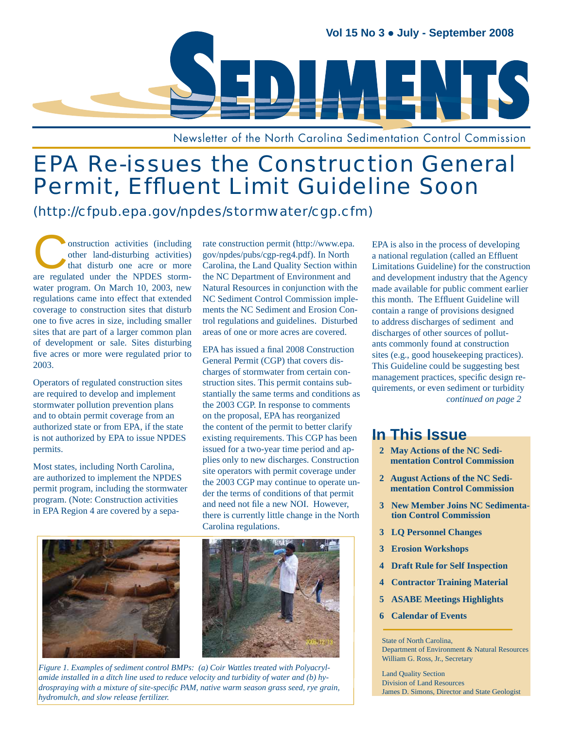

Newsletter of the North Carolina Sedimentation Control Commission

# EPA Re-issues the Construction General Permit, Effluent Limit Guideline Soon

### (http://cfpub.epa.gov/npdes/stormwater/cgp.cfm)

Onstruction activities (including other land-disturbing activities) that disturb one acre or more other land-disturbing activities) are regulated under the NPDES stormwater program. On March 10, 2003, new regulations came into effect that extended coverage to construction sites that disturb one to five acres in size, including smaller sites that are part of a larger common plan of development or sale. Sites disturbing five acres or more were regulated prior to 2003.

Operators of regulated construction sites are required to develop and implement stormwater pollution prevention plans and to obtain permit coverage from an authorized state or from EPA, if the state is not authorized by EPA to issue NPDES permits.

Most states, including North Carolina, are authorized to implement the NPDES permit program, including the stormwater program. (Note: Construction activities in EPA Region 4 are covered by a separate construction permit (http://www.epa. gov/npdes/pubs/cgp-reg4.pdf). In North Carolina, the Land Quality Section within the NC Department of Environment and Natural Resources in conjunction with the NC Sediment Control Commission implements the NC Sediment and Erosion Control regulations and guidelines. Disturbed areas of one or more acres are covered.

EPA has issued a final 2008 Construction General Permit (CGP) that covers discharges of stormwater from certain construction sites. This permit contains substantially the same terms and conditions as the 2003 CGP. In response to comments on the proposal, EPA has reorganized the content of the permit to better clarify existing requirements. This CGP has been issued for a two-year time period and applies only to new discharges. Construction site operators with permit coverage under the 2003 CGP may continue to operate under the terms of conditions of that permit and need not file a new NOI. However, there is currently little change in the North Carolina regulations.





*Figure 1. Examples of sediment control BMPs: (a) Coir Wattles treated with Polyacrylamide installed in a ditch line used to reduce velocity and turbidity of water and (b) hydrospraying with a mixture of site-specifi c PAM, native warm season grass seed, rye grain, hydromulch, and slow release fertilizer.*

EPA is also in the process of developing a national regulation (called an Effluent Limitations Guideline) for the construction and development industry that the Agency made available for public comment earlier this month. The Effluent Guideline will contain a range of provisions designed to address discharges of sediment and discharges of other sources of pollutants commonly found at construction sites (e.g., good housekeeping practices). This Guideline could be suggesting best management practices, specific design requirements, or even sediment or turbidity *continued on page 2*

### **In This Issue**

- **2 May Actions of the NC Sedi mentation Control Commission**
- **2 August Actions of the NC Sedi mentation Control Commission**
- **3 New Member Joins NC Sedimenta tion Control Commission**
- **3 LQ Personnel Changes**
- **3 Erosion Workshops**
- **Draft Rule for Self Inspection**
- **4 Contractor Training Material**
- **5 ASABE Meetings Highlights**
- **6 Calendar of Events**

State of North Carolina, Department of Environment & Natural Resources William G. Ross, Jr., Secretary

Land Quality Section Division of Land Resources James D. Simons, Director and State Geologist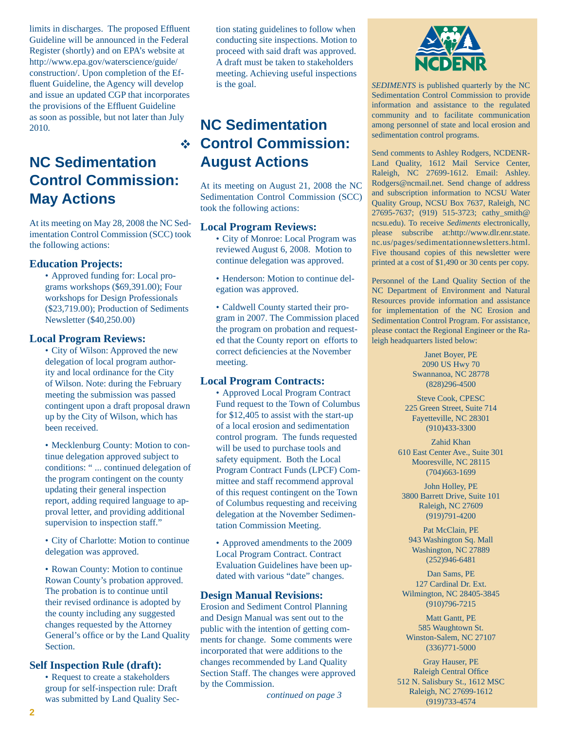limits in discharges. The proposed Effluent Guideline will be announced in the Federal Register (shortly) and on EPA's website at http://www.epa.gov/waterscience/guide/ construction/. Upon completion of the Effluent Guideline, the Agency will develop and issue an updated CGP that incorporates the provisions of the Effluent Guideline as soon as possible, but not later than July 2010.

# **NC Sedimentation Control Commission: May Actions**

At its meeting on May 28, 2008 the NC Sedimentation Control Commission (SCC) took the following actions:

#### **Education Projects:**

Approved funding for: Local pro-• grams workshops (\$69,391.00); Four workshops for Design Professionals (\$23,719.00); Production of Sediments Newsletter (\$40,250.00)

#### **Local Program Reviews:**

• City of Wilson: Approved the new delegation of local program authority and local ordinance for the City of Wilson. Note: during the February meeting the submission was passed contingent upon a draft proposal drawn up by the City of Wilson, which has been received.

• Mecklenburg County: Motion to continue delegation approved subject to conditions: " ... continued delegation of the program contingent on the county updating their general inspection report, adding required language to approval letter, and providing additional supervision to inspection staff."

• City of Charlotte: Motion to continue delegation was approved.

• Rowan County: Motion to continue Rowan County's probation approved. The probation is to continue until their revised ordinance is adopted by the county including any suggested changes requested by the Attorney General's office or by the Land Quality Section.

#### **Self Inspection Rule (draft):**

• Request to create a stakeholders group for self-inspection rule: Draft was submitted by Land Quality Section stating guidelines to follow when conducting site inspections. Motion to proceed with said draft was approved. A draft must be taken to stakeholders meeting. Achieving useful inspections is the goal.

# **Control Commission: NC Sedimentation August Actions**

At its meeting on August 21, 2008 the NC Sedimentation Control Commission (SCC) took the following actions:

#### **Local Program Reviews:**

City of Monroe: Local Program was • reviewed August 6, 2008. Motion to continue delegation was approved.

• Henderson: Motion to continue delegation was approved.

Caldwell County started their pro-• gram in 2007. The Commission placed the program on probation and requested that the County report on efforts to correct deficiencies at the November meeting.

#### **Local Program Contracts:**

Approved Local Program Contract • Fund request to the Town of Columbus for \$12,405 to assist with the start-up of a local erosion and sedimentation control program. The funds requested will be used to purchase tools and safety equipment. Both the Local Program Contract Funds (LPCF) Committee and staff recommend approval of this request contingent on the Town of Columbus requesting and receiving delegation at the November Sedimentation Commission Meeting.

Approved amendments to the 2009 •Local Program Contract. Contract Evaluation Guidelines have been updated with various "date" changes.

#### **Design Manual Revisions:**

Erosion and Sediment Control Planning and Design Manual was sent out to the public with the intention of getting comments for change. Some comments were incorporated that were additions to the changes recommended by Land Quality Section Staff. The changes were approved by the Commission.

*continued on page 3*



*SEDIMENTS* is published quarterly by the NC Sedimentation Control Commission to provide information and assistance to the regulated community and to facilitate communication among personnel of state and local erosion and sedimentation control programs.

Send comments to Ashley Rodgers, NCDENR-Land Quality, 1612 Mail Service Center, Raleigh, NC 27699-1612. Email: Ashley. Rodgers@ncmail.net. Send change of address and subscription information to NCSU Water Quality Group, NCSU Box 7637, Raleigh, NC 27695-7637; (919) 515-3723; cathy\_smith@ ncsu.edu). To receive *Sediments* electronically, please subscribe at:http://www.dlr.enr.state. nc.us/pages/sedimentationnewsletters.html. Five thousand copies of this newsletter were printed at a cost of \$1,490 or 30 cents per copy.

Personnel of the Land Quality Section of the NC Department of Environment and Natural Resources provide information and assistance for implementation of the NC Erosion and Sedimentation Control Program. For assistance, please contact the Regional Engineer or the Raleigh headquarters listed below:

> Janet Boyer, PE 2090 US Hwy 70 Swannanoa, NC 28778 (828)296-4500

Steve Cook, CPESC 225 Green Street, Suite 714 Fayetteville, NC 28301 (910)433-3300

Zahid Khan 610 East Center Ave., Suite 301 Mooresville, NC 28115 (704)663-1699

John Holley, PE 3800 Barrett Drive, Suite 101 Raleigh, NC 27609 (919)791-4200

Pat McClain, PE 943 Washington Sq. Mall Washington, NC 27889 (252)946-6481

Dan Sams, PE 127 Cardinal Dr. Ext. Wilmington, NC 28405-3845 (910)796-7215

Matt Gantt, PE 585 Waughtown St. Winston-Salem, NC 27107 (336)771-5000

Gray Hauser, PE Raleigh Central Office 512 N. Salisbury St., 1612 MSC Raleigh, NC 27699-1612 (919)733-4574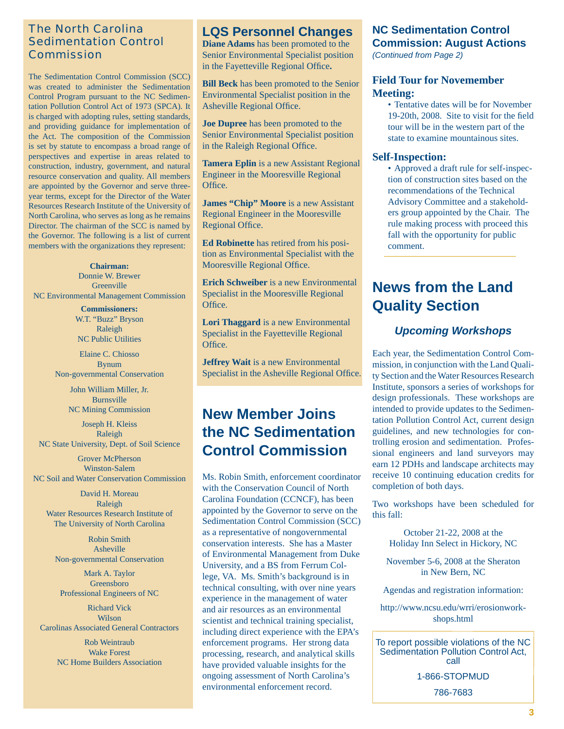### The North Carolina Sedimentation Control Commission

The Sedimentation Control Commission (SCC) was created to administer the Sedimentation Control Program pursuant to the NC Sedimentation Pollution Control Act of 1973 (SPCA). It is charged with adopting rules, setting standards, and providing guidance for implementation of the Act. The composition of the Commission is set by statute to encompass a broad range of perspectives and expertise in areas related to construction, industry, government, and natural resource conservation and quality. All members are appointed by the Governor and serve threeyear terms, except for the Director of the Water Resources Research Institute of the University of North Carolina, who serves as long as he remains Director. The chairman of the SCC is named by the Governor. The following is a list of current members with the organizations they represent:

**Chairman:** Donnie W. Brewer **Greenville** NC Environmental Management Commission

> **Commissioners:** W.T. "Buzz" Bryson Raleigh NC Public Utilities

Elaine C. Chiosso Bynum Non-governmental Conservation

> John William Miller, Jr. Burnsville NC Mining Commission

Joseph H. Kleiss Raleigh NC State University, Dept. of Soil Science

Grover McPherson Winston-Salem NC Soil and Water Conservation Commission

David H. Moreau Raleigh Water Resources Research Institute of The University of North Carolina

Robin Smith Asheville Non-governmental Conservation

Mark A. Taylor Greensboro Professional Engineers of NC

Richard Vick Wilson Carolinas Associated General Contractors

> Rob Weintraub Wake Forest NC Home Builders Association

### **LQS Personnel Changes**

**Diane Adams** has been promoted to the Senior Environmental Specialist position in the Fayetteville Regional Office.

**Bill Beck** has been promoted to the Senior Environmental Specialist position in the Asheville Regional Office.

**Joe Dupree** has been promoted to the Senior Environmental Specialist position in the Raleigh Regional Office.

**Tamera Eplin** is a new Assistant Regional Engineer in the Mooresville Regional Office.

**James "Chip" Moore** is a new Assistant Regional Engineer in the Mooresville Regional Office.

**Ed Robinette** has retired from his position as Environmental Specialist with the Mooresville Regional Office.

**Erich Schweiber** is a new Environmental Specialist in the Mooresville Regional Office.

**Lori Thaggard** is a new Environmental Specialist in the Fayetteville Regional Office.

**Jeffrey Wait** is a new Environmental Specialist in the Asheville Regional Office.

# **New Member Joins the NC Sedimentation Control Commission**

Ms. Robin Smith, enforcement coordinator with the Conservation Council of North Carolina Foundation (CCNCF), has been appointed by the Governor to serve on the Sedimentation Control Commission (SCC) as a representative of nongovernmental conservation interests. She has a Master of Environmental Management from Duke University, and a BS from Ferrum College, VA. Ms. Smith's background is in technical consulting, with over nine years experience in the management of water and air resources as an environmental scientist and technical training specialist, including direct experience with the EPA's enforcement programs. Her strong data processing, research, and analytical skills have provided valuable insights for the ongoing assessment of North Carolina's environmental enforcement record.

### **NC Sedimentation Control Commission: August Actions**

*(Continued from Page 2)*

#### **Field Tour for Novemember Meeting:**

Tentative dates will be for November • 19-20th, 2008. Site to visit for the field tour will be in the western part of the state to examine mountainous sites.

#### **Self-Inspection:**

Approved a draft rule for self-inspec-• tion of construction sites based on the recommendations of the Technical Advisory Committee and a stakeholders group appointed by the Chair. The rule making process with proceed this fall with the opportunity for public comment.

# **News from the Land Quality Section**

### *Upcoming Workshops*

Each year, the Sedimentation Control Commission, in conjunction with the Land Quality Section and the Water Resources Research Institute, sponsors a series of workshops for design professionals. These workshops are intended to provide updates to the Sedimentation Pollution Control Act, current design guidelines, and new technologies for controlling erosion and sedimentation. Professional engineers and land surveyors may earn 12 PDHs and landscape architects may receive 10 continuing education credits for completion of both days.

Two workshops have been scheduled for this fall:

> October 21-22, 2008 at the Holiday Inn Select in Hickory, NC

November 5-6, 2008 at the Sheraton in New Bern, NC

Agendas and registration information:

http://www.ncsu.edu/wrri/erosionworkshops.html

Sedimentation Pollution Control Act, To report possible violations of the NC call 1-866-STOPMUD

786-7683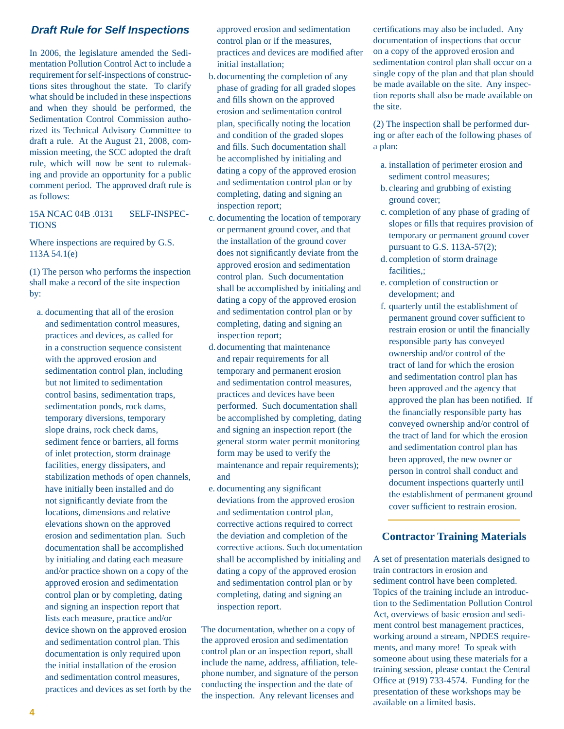#### *Draft Rule for Self Inspections*

In 2006, the legislature amended the Sedimentation Pollution Control Act to include a requirement for self-inspections of constructions sites throughout the state. To clarify what should be included in these inspections and when they should be performed, the Sedimentation Control Commission authorized its Technical Advisory Committee to draft a rule. At the August 21, 2008, commission meeting, the SCC adopted the draft rule, which will now be sent to rulemaking and provide an opportunity for a public comment period. The approved draft rule is as follows:

#### 15A NCAC 04B .0131 SELF-INSPEC-TIONS

Where inspections are required by G.S. 113A 54.1(e)

(1) The person who performs the inspection shall make a record of the site inspection by:

a. documenting that all of the erosion and sedimentation control measures, practices and devices, as called for in a construction sequence consistent with the approved erosion and sedimentation control plan, including but not limited to sedimentation control basins, sedimentation traps, sedimentation ponds, rock dams, temporary diversions, temporary slope drains, rock check dams, sediment fence or barriers, all forms of inlet protection, storm drainage facilities, energy dissipaters, and stabilization methods of open channels, have initially been installed and do not significantly deviate from the locations, dimensions and relative elevations shown on the approved erosion and sedimentation plan. Such documentation shall be accomplished by initialing and dating each measure and/or practice shown on a copy of the approved erosion and sedimentation control plan or by completing, dating and signing an inspection report that lists each measure, practice and/or device shown on the approved erosion and sedimentation control plan. This documentation is only required upon the initial installation of the erosion and sedimentation control measures, practices and devices as set forth by the approved erosion and sedimentation control plan or if the measures, practices and devices are modified after initial installation;

- b. documenting the completion of any phase of grading for all graded slopes and fills shown on the approved erosion and sedimentation control plan, specifically noting the location and condition of the graded slopes and fills. Such documentation shall be accomplished by initialing and dating a copy of the approved erosion and sedimentation control plan or by completing, dating and signing an inspection report;
- c. documenting the location of temporary or permanent ground cover, and that the installation of the ground cover does not significantly deviate from the approved erosion and sedimentation control plan. Such documentation shall be accomplished by initialing and dating a copy of the approved erosion and sedimentation control plan or by completing, dating and signing an inspection report;
- d. documenting that maintenance and repair requirements for all temporary and permanent erosion and sedimentation control measures, practices and devices have been performed. Such documentation shall be accomplished by completing, dating and signing an inspection report (the general storm water permit monitoring form may be used to verify the maintenance and repair requirements); and
- e. documenting any significant deviations from the approved erosion and sedimentation control plan, corrective actions required to correct the deviation and completion of the corrective actions. Such documentation shall be accomplished by initialing and dating a copy of the approved erosion and sedimentation control plan or by completing, dating and signing an inspection report.

The documentation, whether on a copy of the approved erosion and sedimentation control plan or an inspection report, shall include the name, address, affiliation, telephone number, and signature of the person conducting the inspection and the date of the inspection. Any relevant licenses and

certifications may also be included. Any documentation of inspections that occur on a copy of the approved erosion and sedimentation control plan shall occur on a single copy of the plan and that plan should be made available on the site. Any inspection reports shall also be made available on the site.

(2) The inspection shall be performed during or after each of the following phases of a plan:

- a. installation of perimeter erosion and sediment control measures;
- b. clearing and grubbing of existing ground cover;
- c. completion of any phase of grading of slopes or fills that requires provision of temporary or permanent ground cover pursuant to G.S. 113A-57(2);
- d. completion of storm drainage facilities,;
- e. completion of construction or development; and
- f. quarterly until the establishment of permanent ground cover sufficient to restrain erosion or until the financially responsible party has conveyed ownership and/or control of the tract of land for which the erosion and sedimentation control plan has been approved and the agency that approved the plan has been notified. If the financially responsible party has conveyed ownership and/or control of the tract of land for which the erosion and sedimentation control plan has been approved, the new owner or person in control shall conduct and document inspections quarterly until the establishment of permanent ground cover sufficient to restrain erosion.

#### **Contractor Training Materials**

A set of presentation materials designed to train contractors in erosion and sediment control have been completed. Topics of the training include an introduction to the Sedimentation Pollution Control Act, overviews of basic erosion and sediment control best management practices, working around a stream, NPDES requirements, and many more! To speak with someone about using these materials for a training session, please contact the Central Office at  $(919)$  733-4574. Funding for the presentation of these workshops may be available on a limited basis.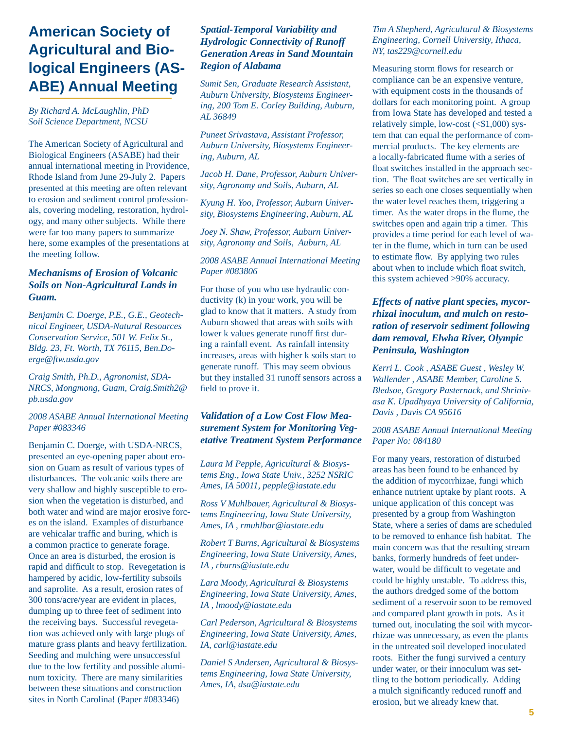# **American Society of Agricultural and Biological Engineers (AS-ABE) Annual Meeting**

*By Richard A. McLaughlin, PhD Soil Science Department, NCSU*

The American Society of Agricultural and Biological Engineers (ASABE) had their annual international meeting in Providence, Rhode Island from June 29-July 2. Papers presented at this meeting are often relevant to erosion and sediment control professionals, covering modeling, restoration, hydrology, and many other subjects. While there were far too many papers to summarize here, some examples of the presentations at the meeting follow.

#### *Mechanisms of Erosion of Volcanic Soils on Non-Agricultural Lands in Guam.*

*Benjamin C. Doerge, P.E., G.E., Geotechnical Engineer, USDA-Natural Resources Conservation Service, 501 W. Felix St., Bldg. 23, Ft. Worth, TX 76115, Ben.Doerge@ftw.usda.gov*

*Craig Smith, Ph.D., Agronomist, SDA-NRCS, Mongmong, Guam, Craig.Smith2@ pb.usda.gov*

#### *2008 ASABE Annual International Meeting Paper #083346*

Benjamin C. Doerge, with USDA-NRCS, presented an eye-opening paper about erosion on Guam as result of various types of disturbances. The volcanic soils there are very shallow and highly susceptible to erosion when the vegetation is disturbed, and both water and wind are major erosive forces on the island. Examples of disturbance are vehicalar traffic and buring, which is a common practice to generate forage. Once an area is disturbed, the erosion is rapid and difficult to stop. Revegetation is hampered by acidic, low-fertility subsoils and saprolite. As a result, erosion rates of 300 tons/acre/year are evident in places, dumping up to three feet of sediment into the receiving bays. Successful revegetation was achieved only with large plugs of mature grass plants and heavy fertilization. Seeding and mulching were unsuccessful due to the low fertility and possible aluminum toxicity. There are many similarities between these situations and construction sites in North Carolina! (Paper #083346)

#### *Spatial-Temporal Variability and Hydrologic Connectivity of Runoff Generation Areas in Sand Mountain Region of Alabama*

*Sumit Sen, Graduate Research Assistant, Auburn University, Biosystems Engineering, 200 Tom E. Corley Building, Auburn, AL 36849*

*Puneet Srivastava, Assistant Professor, Auburn University, Biosystems Engineering, Auburn, AL*

*Jacob H. Dane, Professor, Auburn University, Agronomy and Soils, Auburn, AL* 

*Kyung H. Yoo, Professor, Auburn University, Biosystems Engineering, Auburn, AL* 

*Joey N. Shaw, Professor, Auburn University, Agronomy and Soils, Auburn, AL* 

#### *2008 ASABE Annual International Meeting Paper #083806*

For those of you who use hydraulic conductivity (k) in your work, you will be glad to know that it matters. A study from Auburn showed that areas with soils with lower k values generate runoff first during a rainfall event. As rainfall intensity increases, areas with higher k soils start to generate runoff. This may seem obvious but they installed 31 runoff sensors across a field to prove it.

#### *Validation of a Low Cost Flow Measurement System for Monitoring Vegetative Treatment System Performance*

*Laura M Pepple, Agricultural & Biosystems Eng., Iowa State Univ., 3252 NSRIC Ames, IA 50011, pepple@iastate.edu*

*Ross V Muhlbauer, Agricultural & Biosystems Engineering, Iowa State University, Ames, IA , rmuhlbar@iastate.edu*

*Robert T Burns, Agricultural & Biosystems Engineering, Iowa State University, Ames, IA , rburns@iastate.edu*

*Lara Moody, Agricultural & Biosystems Engineering, Iowa State University, Ames, IA , lmoody@iastate.edu*

*Carl Pederson, Agricultural & Biosystems Engineering, Iowa State University, Ames, IA, carl@iastate.edu*

*Daniel S Andersen, Agricultural & Biosystems Engineering, Iowa State University, Ames, IA, dsa@iastate.edu*

#### *Tim A Shepherd, Agricultural & Biosystems Engineering, Cornell University, Ithaca, NY, tas229@cornell.edu*

Measuring storm flows for research or compliance can be an expensive venture, with equipment costs in the thousands of dollars for each monitoring point. A group from Iowa State has developed and tested a relatively simple, low-cost  $( $$1,000$ )$  system that can equal the performance of commercial products. The key elements are a locally-fabricated flume with a series of float switches installed in the approach section. The float switches are set vertically in series so each one closes sequentially when the water level reaches them, triggering a timer. As the water drops in the flume, the switches open and again trip a timer. This provides a time period for each level of water in the flume, which in turn can be used to estimate flow. By applying two rules about when to include which float switch, this system achieved >90% accuracy.

#### *Effects of native plant species, mycorrhizal inoculum, and mulch on restoration of reservoir sediment following dam removal, Elwha River, Olympic Peninsula, Washington*

*Kerri L. Cook , ASABE Guest , Wesley W. Wallender , ASABE Member, Caroline S. Bledsoe, Gregory Pasternack, and Shrinivasa K. Upadhyaya University of California, Davis , Davis CA 95616*

*2008 ASABE Annual International Meeting Paper No: 084180* 

For many years, restoration of disturbed areas has been found to be enhanced by the addition of mycorrhizae, fungi which enhance nutrient uptake by plant roots. A unique application of this concept was presented by a group from Washington State, where a series of dams are scheduled to be removed to enhance fish habitat. The main concern was that the resulting stream banks, formerly hundreds of feet underwater, would be difficult to vegetate and could be highly unstable. To address this, the authors dredged some of the bottom sediment of a reservoir soon to be removed and compared plant growth in pots. As it turned out, inoculating the soil with mycorrhizae was unnecessary, as even the plants in the untreated soil developed inoculated roots. Either the fungi survived a century under water, or their innoculum was settling to the bottom periodically. Adding a mulch significantly reduced runoff and erosion, but we already knew that.